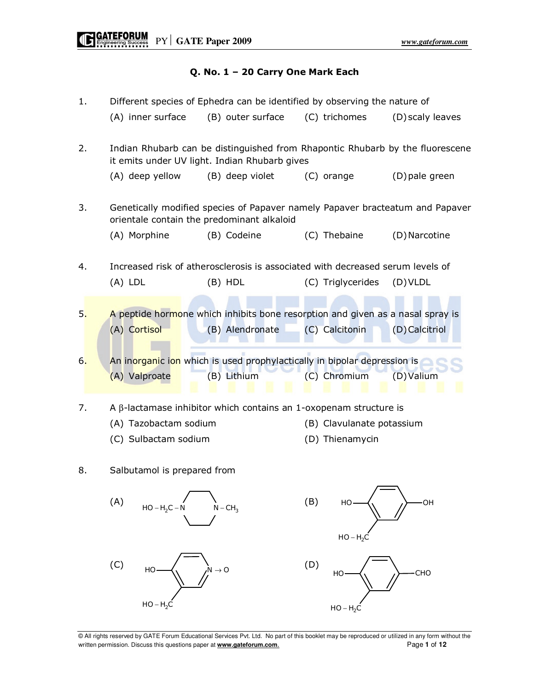## Q. No. 1 – 20 Carry One Mark Each

| 1. | (A) inner surface                                                                                                           | Different species of Ephedra can be identified by observing the nature of<br>(B) outer surface    | (C) trichomes                                                                                                     | (D) scaly leaves |  |  |  |  |  |
|----|-----------------------------------------------------------------------------------------------------------------------------|---------------------------------------------------------------------------------------------------|-------------------------------------------------------------------------------------------------------------------|------------------|--|--|--|--|--|
| 2. | Indian Rhubarb can be distinguished from Rhapontic Rhubarb by the fluorescene                                               |                                                                                                   |                                                                                                                   |                  |  |  |  |  |  |
|    | (A) deep yellow                                                                                                             | (B) deep violet                                                                                   | (C) orange                                                                                                        | (D) pale green   |  |  |  |  |  |
| 3. | Genetically modified species of Papaver namely Papaver bracteatum and Papaver<br>orientale contain the predominant alkaloid |                                                                                                   |                                                                                                                   |                  |  |  |  |  |  |
|    | (A) Morphine                                                                                                                | (B) Codeine                                                                                       | (C) Thebaine                                                                                                      | (D) Narcotine    |  |  |  |  |  |
| 4. | Increased risk of atherosclerosis is associated with decreased serum levels of                                              |                                                                                                   |                                                                                                                   |                  |  |  |  |  |  |
|    | $(A)$ LDL                                                                                                                   | (B) HDL                                                                                           | (C) Triglycerides                                                                                                 | $(D)$ VLDL       |  |  |  |  |  |
| 5. | (A) Cortisol                                                                                                                | A peptide hormone which inhibits bone resorption and given as a nasal spray is<br>(B) Alendronate | (C) Calcitonin                                                                                                    | (D) Calcitriol   |  |  |  |  |  |
| 6. | (A) Valproate                                                                                                               | An inorganic ion which is used prophylactically in bipolar depression is<br>(B) Lithium           | (C) Chromium                                                                                                      | $(D)$ Valium     |  |  |  |  |  |
| 7. | (A) Tazobactam sodium<br>(C) Sulbactam sodium                                                                               |                                                                                                   | A β-lactamase inhibitor which contains an 1-oxopenam structure is<br>(B) Clavulanate potassium<br>(D) Thienamycin |                  |  |  |  |  |  |
| 8. | Salbutamol is prepared from                                                                                                 |                                                                                                   |                                                                                                                   |                  |  |  |  |  |  |
|    | (A)<br>$HO - H_2C - N$                                                                                                      | $N - CH3$                                                                                         | (B)<br>HO<br>$HO - H_2C$                                                                                          | OH               |  |  |  |  |  |
|    | (C)<br>HO                                                                                                                   | $N \rightarrow O$                                                                                 | (D)<br>HO                                                                                                         | CHO              |  |  |  |  |  |
|    | $HO - H2C$                                                                                                                  |                                                                                                   | $HO - H2C$                                                                                                        |                  |  |  |  |  |  |

© All rights reserved by GATE Forum Educational Services Pvt. Ltd. No part of this booklet may be reproduced or utilized in any form without the written permission. Discuss this questions paper at **www.gateforum.com.** Page 1 of 12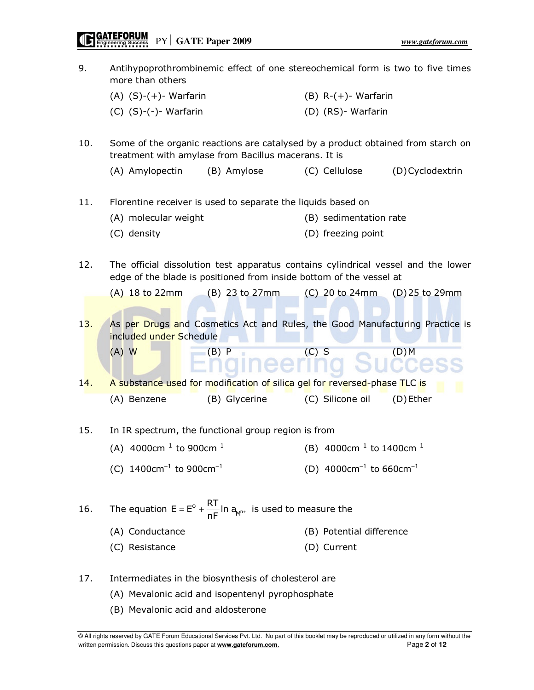9. Antihypoprothrombinemic effect of one stereochemical form is two to five times more than others  $(A)$   $(S)-(+)$ - Warfarin  $(B)$  R- $(+)$ - Warfarin (C) (S)-(-)- Warfarin (D) (RS)- Warfarin 10. Some of the organic reactions are catalysed by a product obtained from starch on treatment with amylase from Bacillus macerans. It is (A) Amylopectin (B) Amylose (C) Cellulose (D) Cyclodextrin 11. Florentine receiver is used to separate the liquids based on (A) molecular weight (B) sedimentation rate (C) density (D) freezing point 12. The official dissolution test apparatus contains cylindrical vessel and the lower edge of the blade is positioned from inside bottom of the vessel at (A) 18 to 22mm (B) 23 to 27mm (C) 20 to 24mm (D) 25 to 29mm 13. As per Drugs and Cosmetics Act and Rules, the Good Manufacturing Practice is included under Schedule (A) W (B) P (C) S (D) M 14. A substance used for modification of silica gel for reversed-phase TLC is (A) Benzene (B) Glycerine (C) Silicone oil (D) Ether 15. In IR spectrum, the functional group region is from (A)  $4000 \text{cm}^{-1}$  to  $900 \text{cm}^{-1}$  (B)  $4000 \text{cm}^{-1}$  to  $1400 \text{cm}^{-1}$ (C)  $1400 \text{cm}^{-1}$  to  $900 \text{cm}^{-1}$  (D)  $4000 \text{cm}^{-1}$  to  $660 \text{cm}^{-1}$ 16. The equation  $E = E^{\circ} + \frac{R_{\text{H}}}{R_{\text{H}}} \ln a_{\text{M}^{\circ}}$  $E = E^{\circ} + \frac{RT}{nF} \ln a_{M^{n+}}$  is used to measure the (A) Conductance (B) Potential difference (C) Resistance (D) Current 17. Intermediates in the biosynthesis of cholesterol are (A) Mevalonic acid and isopentenyl pyrophosphate (B) Mevalonic acid and aldosterone

<sup>©</sup> All rights reserved by GATE Forum Educational Services Pvt. Ltd. No part of this booklet may be reproduced or utilized in any form without the written permission. Discuss this questions paper at **www.gateforum.com.** Page 2 of 12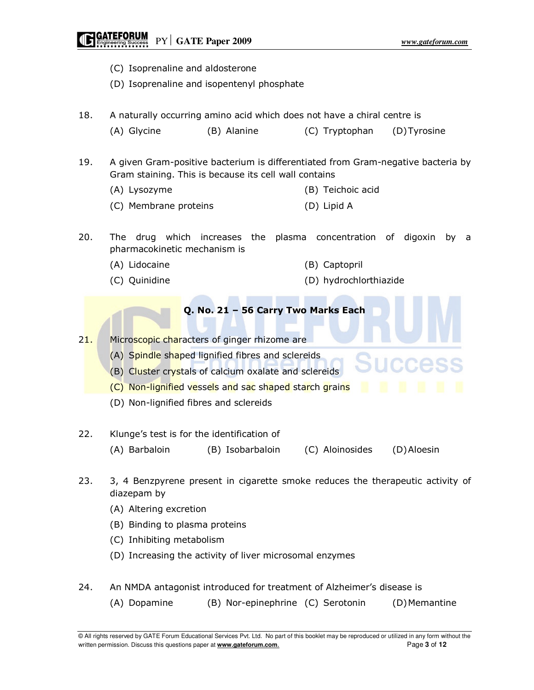## **GATEFORUM**<br> **Engineering Success** PY GATE Paper 2009

- (C) Isoprenaline and aldosterone
- (D) Isoprenaline and isopentenyl phosphate
- 18. A naturally occurring amino acid which does not have a chiral centre is (A) Glycine (B) Alanine (C) Tryptophan (D) Tyrosine
- 19. A given Gram-positive bacterium is differentiated from Gram-negative bacteria by Gram staining. This is because its cell wall contains
	- (A) Lysozyme (B) Teichoic acid
	- (C) Membrane proteins (D) Lipid A
- 20. The drug which increases the plasma concentration of digoxin by a pharmacokinetic mechanism is
	-
	- (A) Lidocaine (B) Captopril
	- (C) Quinidine (D) hydrochlorthiazide

## Q. No. 21 – 56 Carry Two Marks Each

21. Microscopic characters of ginger rhizome are

- (A) Spindle shaped lignified fibres and sclereids
- (B) Cluster crystals of calcium oxalate and sclereids
- (C) Non-lignified vessels and sac shaped starch grains
- (D) Non-lignified fibres and sclereids
- 22. Klunge's test is for the identification of
	- (A) Barbaloin (B) Isobarbaloin (C) Aloinosides (D) Aloesin
- 23. 3, 4 Benzpyrene present in cigarette smoke reduces the therapeutic activity of diazepam by
	- (A) Altering excretion
	- (B) Binding to plasma proteins
	- (C) Inhibiting metabolism
	- (D) Increasing the activity of liver microsomal enzymes
- 24. An NMDA antagonist introduced for treatment of Alzheimer's disease is
	- (A) Dopamine (B) Nor-epinephrine (C) Serotonin (D) Memantine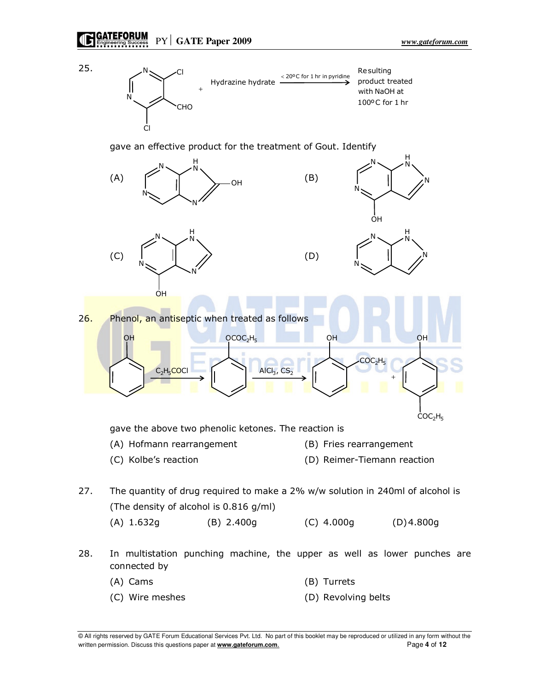

gave an effective product for the treatment of Gout. Identify



- 28. In multistation punching machine, the upper as well as lower punches are connected by
	- (A) Cams (B) Turrets
	- (C) Wire meshes (D) Revolving belts

<sup>©</sup> All rights reserved by GATE Forum Educational Services Pvt. Ltd. No part of this booklet may be reproduced or utilized in any form without the written permission. Discuss this questions paper at **www.gateforum.com.** Page 4 of 12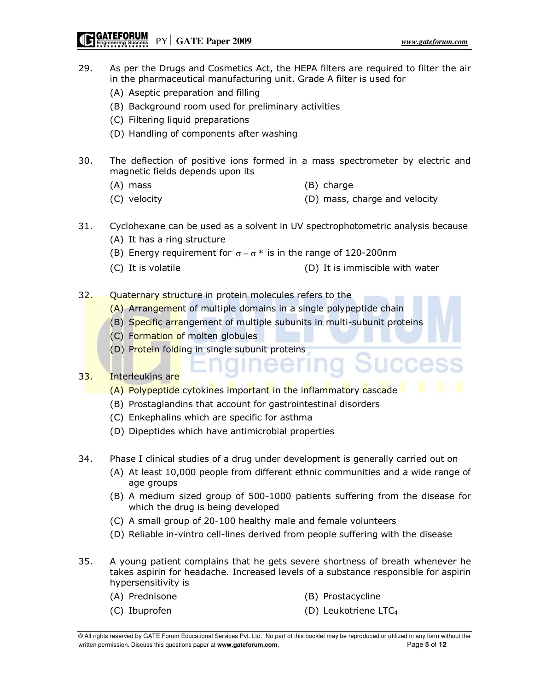PY **GATE Paper 2009** *www.gateforum.com* 

JCCes

- 29. As per the Drugs and Cosmetics Act, the HEPA filters are required to filter the air in the pharmaceutical manufacturing unit. Grade A filter is used for
	- (A) Aseptic preparation and filling
	- (B) Background room used for preliminary activities
	- (C) Filtering liquid preparations
	- (D) Handling of components after washing
- 30. The deflection of positive ions formed in a mass spectrometer by electric and magnetic fields depends upon its
	- (A) mass (B) charge
	- (C) velocity (D) mass, charge and velocity
- 31. Cyclohexane can be used as a solvent in UV spectrophotometric analysis because (A) It has a ring structure
	- (B) Energy requirement for  $\sigma \sigma^*$  is in the range of 120-200nm
	- (C) It is volatile (D) It is immiscible with water
- 32. Quaternary structure in protein molecules refers to the
	- (A) Arrangement of multiple domains in a single polypeptide chain
	- (B) Specific arrangement of multiple subunits in multi-subunit proteins
	- (C) Formation of molten globules
	- (D) Protein folding in single subunit proteins

## 33. Interleukins are

- (A) Polypeptide cytokines important in the inflammatory cascade
- (B) Prostaglandins that account for gastrointestinal disorders
- (C) Enkephalins which are specific for asthma
- (D) Dipeptides which have antimicrobial properties
- 34. Phase I clinical studies of a drug under development is generally carried out on
	- (A) At least 10,000 people from different ethnic communities and a wide range of age groups

ieering

- (B) A medium sized group of 500-1000 patients suffering from the disease for which the drug is being developed
- (C) A small group of 20-100 healthy male and female volunteers
- (D) Reliable in-vintro cell-lines derived from people suffering with the disease
- 35. A young patient complains that he gets severe shortness of breath whenever he takes aspirin for headache. Increased levels of a substance responsible for aspirin hypersensitivity is
	- (A) Prednisone (B) Prostacycline
	-
- 
- (C) Ibuprofen (D) Leukotriene LTC4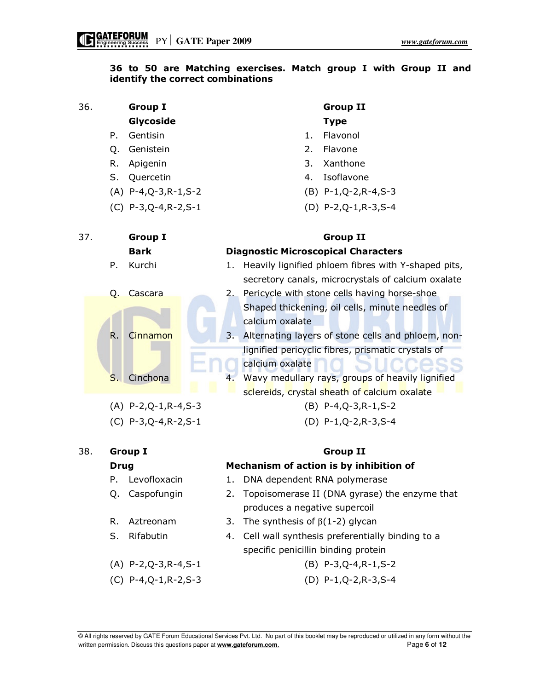## 36 to 50 are Matching exercises. Match group I with Group II and identify the correct combinations

## 36. Group I Group II Glycoside Type

- 
- 
- 
- 
- 
- (C) P-3,Q-4,R-2,S-1 (D) P-2,Q-1,R-3,S-4

- P. Gentisin **1. Flavonol**
- Q. Genistein 2. Flavone
- R. Apigenin 3. Xanthone
- S. Quercetin **4. Isoflavone**
- (A) P-4,Q-3,R-1,S-2 (B) P-1,Q-2,R-4,S-3
	-

| 37. |     |                          | <b>Group I</b> |  | <b>Group II</b>                            |                                                       |  |  |
|-----|-----|--------------------------|----------------|--|--------------------------------------------|-------------------------------------------------------|--|--|
|     |     |                          | <b>Bark</b>    |  | <b>Diagnostic Microscopical Characters</b> |                                                       |  |  |
|     |     | P.                       | Kurchi         |  | 1.                                         | Heavily lignified phloem fibres with Y-shaped pits,   |  |  |
|     |     |                          |                |  |                                            | secretory canals, microcrystals of calcium oxalate    |  |  |
|     |     | Q.                       | Cascara        |  |                                            | 2. Pericycle with stone cells having horse-shoe       |  |  |
|     |     |                          |                |  |                                            | Shaped thickening, oil cells, minute needles of       |  |  |
|     |     |                          |                |  |                                            | calcium oxalate                                       |  |  |
|     |     | $\mathsf{R}$ .           | Cinnamon       |  |                                            | 3. Alternating layers of stone cells and phloem, non- |  |  |
|     |     |                          | Cinchona       |  |                                            | lignified pericyclic fibres, prismatic crystals of    |  |  |
|     |     |                          |                |  |                                            | calcium oxalate                                       |  |  |
|     |     | S.                       |                |  | 4.                                         | Wavy medullary rays, groups of heavily lignified      |  |  |
|     |     |                          |                |  |                                            | sclereids, crystal sheath of calcium oxalate          |  |  |
|     |     | $(A)$ P-2, Q-1, R-4, S-3 |                |  | $(B)$ P-4, Q-3, R-1, S-2                   |                                                       |  |  |
|     |     | $(C) P-3,Q-4,R-2,S-1$    |                |  | $(D)$ P-1, Q-2, R-3, S-4                   |                                                       |  |  |
|     |     |                          |                |  |                                            |                                                       |  |  |
|     | 38. |                          | Group I        |  |                                            | Group II                                              |  |  |

## Drug Mechanism of action is by inhibition of

- P. Levofloxacin 1. DNA dependent RNA polymerase
- Q. Caspofungin 2. Topoisomerase II (DNA gyrase) the enzyme that produces a negative supercoil
- R. Aztreonam 3. The synthesis of  $\beta(1-2)$  glycan
- S. Rifabutin 4. Cell wall synthesis preferentially binding to a specific penicillin binding protein
	-
- (C) P-4,Q-1,R-2,S-3 (D) P-1,Q-2,R-3,S-4

- 
- 
- 
- 
- (A) P-2,Q-3,R-4,S-1 (B) P-3,Q-4,R-1,S-2
-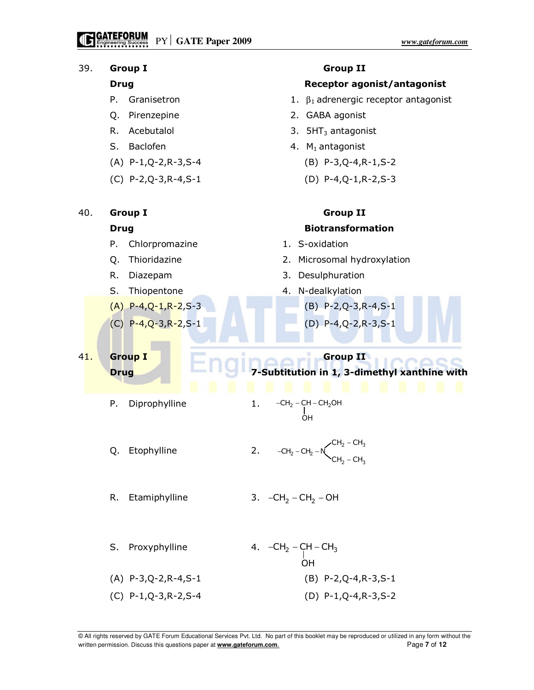

<sup>©</sup> All rights reserved by GATE Forum Educational Services Pvt. Ltd. No part of this booklet may be reproduced or utilized in any form without the written permission. Discuss this questions paper at **www.gateforum.com.** Page **7** of **12** Page **7** of **12**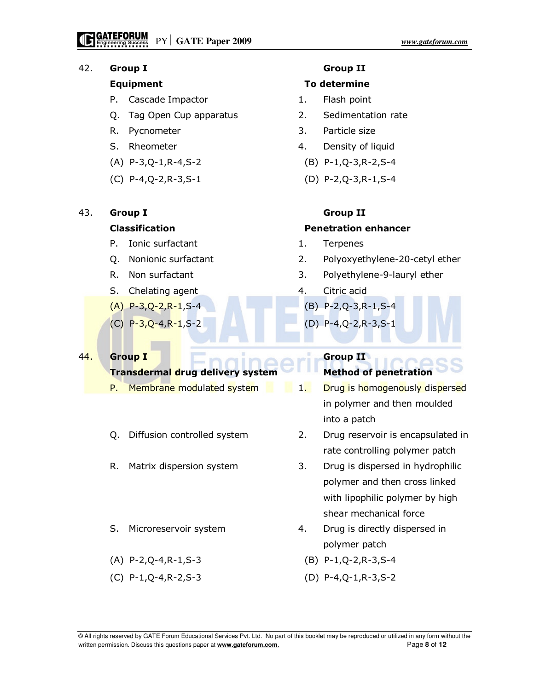### 42. Group I Group II

- P. Cascade Impactor **1.** Flash point
- Q. Tag Open Cup apparatus 2. Sedimentation rate
- 
- 
- (A) P-3,Q-1,R-4,S-2 (B) P-1,Q-3,R-2,S-4
- (C) P-4,Q-2,R-3,S-1 (D) P-2,Q-3,R-1,S-4

## 43. Group I Group II

- P. Ionic surfactant 1. Terpenes
- 
- 
- S. Chelating agent 4. Citric acid
- 
- 

## 44. Group I Group II

## **Transdermal drug delivery system Method of penetration**

- P. Membrane modulated system 1. Drug is homogenously dispersed
- 
- 
- 
- (A) P-2,Q-4,R-1,S-3 (B) P-1,Q-2,R-3,S-4
- 

### Equipment To determine

- 
- 
- R. Pycnometer 3. Particle size
- S. Rheometer 2008 120 and 4. Density of liquid
	-
	-

### Classification Penetration enhancer

- 
- Q. Nonionic surfactant 2. Polyoxyethylene-20-cetyl ether
- R. Non surfactant 1.1 and 3. Polyethylene-9-lauryl ether
	-
- (A) P-3,Q-2,R-1,S-4 (B) P-2,Q-3,R-1,S-4
- (C) P-3,Q-4,R-1,S-2 (D) P-4,Q-2,R-3,S-1

- in polymer and then moulded into a patch
- Q. Diffusion controlled system 2. Drug reservoir is encapsulated in rate controlling polymer patch
- R. Matrix dispersion system 3. Drug is dispersed in hydrophilic polymer and then cross linked with lipophilic polymer by high shear mechanical force
- S. Microreservoir system 4. Drug is directly dispersed in polymer patch
	-
- (C) P-1,Q-4,R-2,S-3 (D) P-4,Q-1,R-3,S-2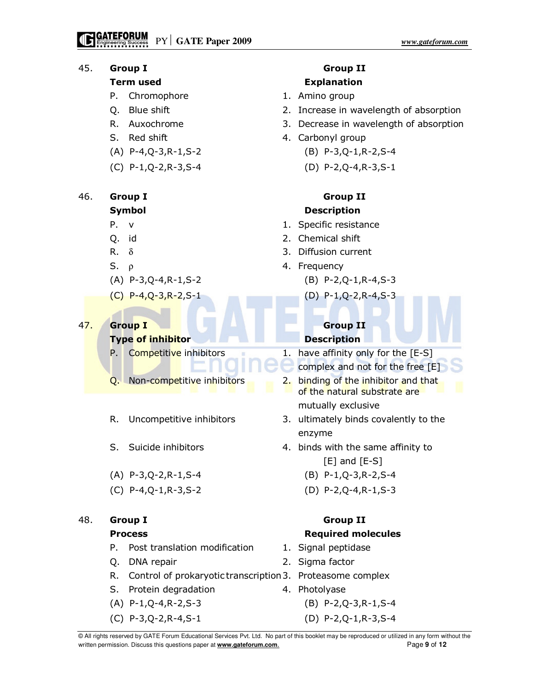## 45. Group I Group II

- P. Chromophore 1. Amino group
- 
- 
- 
- 
- 

# 46. Group I Group II

- 
- 
- 
- 
- (A) P-3,Q-4,R-1,S-2 (B) P-2,Q-1,R-4,S-3
- (C) P-4,Q-3,R-2,S-1 (D) P-1,Q-2,R-4,S-3

## 47. Group I Group II

## **Type of inhibitor Description**

- P. Competitive inhibitors  $1.$  have affinity only for the  $[**E-S**]$
- 
- 
- 
- (A) P-3,Q-2,R-1,S-4 (B) P-1,Q-3,R-2,S-4
- 

## 48. Group I Group II

- P. Post translation modification 1. Signal peptidase
- 
- R. Control of prokaryotic transcription 3. Proteasome complex
- S. Protein degradation **4. Photolyase**
- 
- (C) P-3,Q-2,R-4,S-1 (D) P-2,Q-1,R-3,S-4

# Term used **Explanation**

- 
- Q. Blue shift 2. Increase in wavelength of absorption
- R. Auxochrome 3. Decrease in wavelength of absorption
- S. Red shift 4. Carbonyl group
- (A) P-4,Q-3,R-1,S-2 (B) P-3,Q-1,R-2,S-4
- (C) P-1,Q-2,R-3,S-4 (D) P-2,Q-4,R-3,S-1

# Symbol Description

- P. v 1. Specific resistance
- Q. id 2. Chemical shift
- R.  $\delta$  3. Diffusion current
- S.  $\rho$  4. Frequency
	-
	-

- 
- complex and not for the free [E]
- Q. Non-competitive inhibitors 2. binding of the inhibitor and that of the natural substrate are mutually exclusive
- R. Uncompetitive inhibitors 3. ultimately binds covalently to the enzyme
- S. Suicide inhibitors 4. binds with the same affinity to
	- [E] and [E-S]
	-
- (C) P-4,Q-1,R-3,S-2 (D) P-2,Q-4,R-1,S-3

# Process **Required molecules**

- 
- Q. DNA repair 2. Sigma factor
	-
	-
- (A) P-1,Q-4,R-2,S-3 (B) P-2,Q-3,R-1,S-4
	-

<sup>©</sup> All rights reserved by GATE Forum Educational Services Pvt. Ltd. No part of this booklet may be reproduced or utilized in any form without the written permission. Discuss this questions paper at **www.gateforum.com.** Page 9 of **12**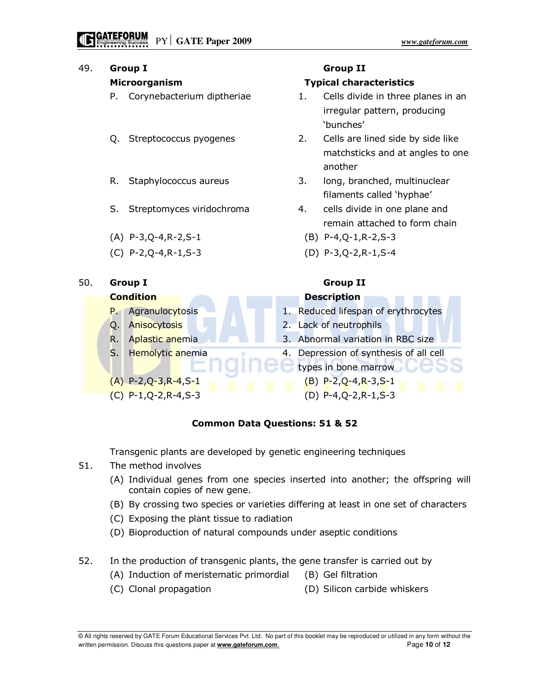| 49. | <b>Group I</b> |                                  |                                                      |                                |                          | <b>Group II</b>                     |  |  |
|-----|----------------|----------------------------------|------------------------------------------------------|--------------------------------|--------------------------|-------------------------------------|--|--|
|     | Microorganism  |                                  |                                                      | <b>Typical characteristics</b> |                          |                                     |  |  |
|     |                | Corynebacterium diptheriae<br>Ρ. |                                                      | 1.                             |                          | Cells divide in three planes in an  |  |  |
|     |                |                                  |                                                      |                                |                          | irregular pattern, producing        |  |  |
|     |                |                                  |                                                      |                                |                          | 'bunches'                           |  |  |
| Q.  |                |                                  | Streptococcus pyogenes                               |                                | 2.                       | Cells are lined side by side like   |  |  |
|     |                |                                  |                                                      |                                |                          | matchsticks and at angles to one    |  |  |
|     |                |                                  |                                                      |                                |                          | another                             |  |  |
|     |                | R.                               | Staphylococcus aureus                                |                                | 3.                       | long, branched, multinuclear        |  |  |
|     |                |                                  |                                                      |                                |                          | filaments called 'hyphae'           |  |  |
|     |                | S.                               | Streptomyces viridochroma                            |                                | 4.                       | cells divide in one plane and       |  |  |
|     |                |                                  |                                                      |                                |                          | remain attached to form chain       |  |  |
|     |                |                                  | $(A)$ P-3, Q-4, R-2, S-1<br>$(C)$ P-2, Q-4, R-1, S-3 |                                |                          | $(B)$ P-4, Q-1, R-2, S-3            |  |  |
|     |                |                                  |                                                      |                                |                          | $(D)$ P-3, Q-2, R-1, S-4            |  |  |
|     |                |                                  |                                                      |                                |                          |                                     |  |  |
| 50. |                | <b>Group I</b>                   |                                                      |                                | <b>Group II</b>          |                                     |  |  |
|     |                | <b>Condition</b>                 |                                                      |                                |                          | <b>Description</b>                  |  |  |
|     |                | $P_{\text{eff}}$                 | Agranulocytosis                                      |                                |                          | 1. Reduced lifespan of erythrocytes |  |  |
|     |                | Q.                               | Anisocytosis<br>Aplastic anemia<br>Hemolytic anemia  |                                | 2. Lack of neutrophils   |                                     |  |  |
|     |                | R.<br>$S_{1}$                    |                                                      |                                |                          | Abnormal variation in RBC size      |  |  |
|     |                |                                  |                                                      |                                |                          | Depression of synthesis of all cell |  |  |
|     |                |                                  |                                                      |                                |                          | types in bone marrow                |  |  |
|     |                | $(A)$ P-2, Q-3, R-4, S-1         |                                                      |                                | $(B)$ P-2, Q-4, R-3, S-1 |                                     |  |  |
|     |                | $(C) P-1,Q-2,R-4,S-3$            |                                                      |                                | $(D)$ P-4, Q-2, R-1, S-3 |                                     |  |  |

## Common Data Questions: 51 & 52

Transgenic plants are developed by genetic engineering techniques

- 51. The method involves
	- (A) Individual genes from one species inserted into another; the offspring will contain copies of new gene.
	- (B) By crossing two species or varieties differing at least in one set of characters
	- (C) Exposing the plant tissue to radiation
	- (D) Bioproduction of natural compounds under aseptic conditions
- 52. In the production of transgenic plants, the gene transfer is carried out by
	- (A) Induction of meristematic primordial (B) Gel filtration
	- (C) Clonal propagation (D) Silicon carbide whiskers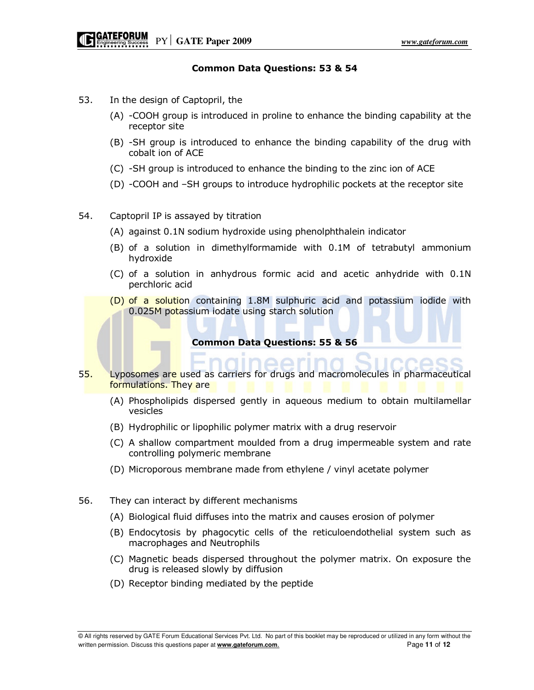### Common Data Questions: 53 & 54

- 53. In the design of Captopril, the
	- (A) -COOH group is introduced in proline to enhance the binding capability at the receptor site
	- (B) -SH group is introduced to enhance the binding capability of the drug with cobalt ion of ACE
	- (C) -SH group is introduced to enhance the binding to the zinc ion of ACE
	- (D) -COOH and –SH groups to introduce hydrophilic pockets at the receptor site
- 54. Captopril IP is assayed by titration
	- (A) against 0.1N sodium hydroxide using phenolphthalein indicator
	- (B) of a solution in dimethylformamide with 0.1M of tetrabutyl ammonium hydroxide
	- (C) of a solution in anhydrous formic acid and acetic anhydride with 0.1N perchloric acid
	- (D) of a solution containing 1.8M sulphuric acid and potassium iodide with 0.025M potassium iodate using starch solution

Common Data Questions: 55 & 56

- 55. Lyposomes are used as carriers for drugs and macromolecules in pharmaceutical formulations. They are
	- (A) Phospholipids dispersed gently in aqueous medium to obtain multilamellar vesicles
	- (B) Hydrophilic or lipophilic polymer matrix with a drug reservoir
	- (C) A shallow compartment moulded from a drug impermeable system and rate controlling polymeric membrane
	- (D) Microporous membrane made from ethylene / vinyl acetate polymer
- 56. They can interact by different mechanisms
	- (A) Biological fluid diffuses into the matrix and causes erosion of polymer
	- (B) Endocytosis by phagocytic cells of the reticuloendothelial system such as macrophages and Neutrophils
	- (C) Magnetic beads dispersed throughout the polymer matrix. On exposure the drug is released slowly by diffusion
	- (D) Receptor binding mediated by the peptide